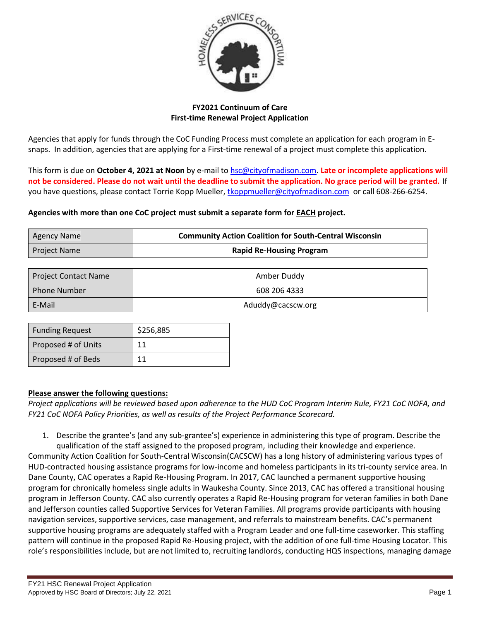

# **FY2021 Continuum of Care First-time Renewal Project Application**

Agencies that apply for funds through the CoC Funding Process must complete an application for each program in Esnaps. In addition, agencies that are applying for a First-time renewal of a project must complete this application.

This form is due on **October 4, 2021 at Noon** by e-mail to [hsc@cityofmadison.com.](mailto:hsc@cityofmadison.com) **Late or incomplete applications will not be considered. Please do not wait until the deadline to submit the application. No grace period will be granted.** If you have questions, please contact Torrie Kopp Mueller, [tkoppmueller@cityofmadison.com](mailto:tkoppmueller@cityofmadison.com) or call 608-266-6254.

### **Agencies with more than one CoC project must submit a separate form for EACH project.**

| Agency Name  | <b>Community Action Coalition for South-Central Wisconsin</b> |  |
|--------------|---------------------------------------------------------------|--|
| Project Name | <b>Rapid Re-Housing Program</b>                               |  |

| <b>Project Contact Name</b> | Amber Duddy       |
|-----------------------------|-------------------|
| l Phone Number              | 608 206 4333      |
| E-Mail                      | Aduddy@cacscw.org |

| <b>Funding Request</b> | \$256,885 |
|------------------------|-----------|
| Proposed # of Units    | 11        |
| Proposed # of Beds     | 11        |

# **Please answer the following questions:**

*Project applications will be reviewed based upon adherence to the HUD CoC Program Interim Rule, FY21 CoC NOFA, and FY21 CoC NOFA Policy Priorities, as well as results of the Project Performance Scorecard.*

1. Describe the grantee's (and any sub-grantee's) experience in administering this type of program. Describe the qualification of the staff assigned to the proposed program, including their knowledge and experience.

Community Action Coalition for South-Central Wisconsin(CACSCW) has a long history of administering various types of HUD-contracted housing assistance programs for low-income and homeless participants in its tri-county service area. In Dane County, CAC operates a Rapid Re-Housing Program. In 2017, CAC launched a permanent supportive housing program for chronically homeless single adults in Waukesha County. Since 2013, CAC has offered a transitional housing program in Jefferson County. CAC also currently operates a Rapid Re-Housing program for veteran families in both Dane and Jefferson counties called Supportive Services for Veteran Families. All programs provide participants with housing navigation services, supportive services, case management, and referrals to mainstream benefits. CAC's permanent supportive housing programs are adequately staffed with a Program Leader and one full-time caseworker. This staffing pattern will continue in the proposed Rapid Re-Housing project, with the addition of one full-time Housing Locator. This role's responsibilities include, but are not limited to, recruiting landlords, conducting HQS inspections, managing damage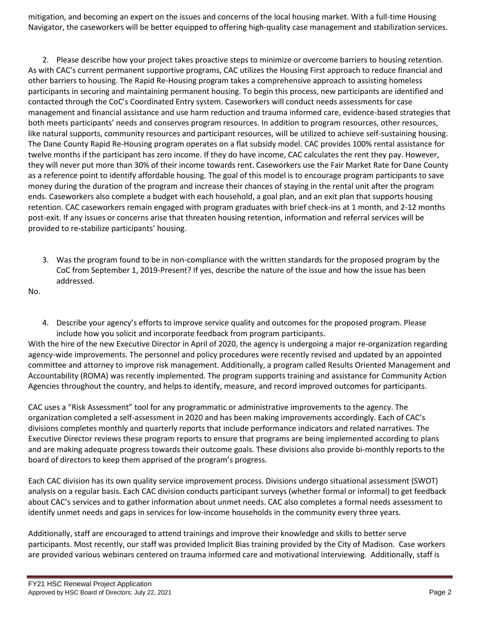mitigation, and becoming an expert on the issues and concerns of the local housing market. With a full-time Housing Navigator, the caseworkers will be better equipped to offering high-quality case management and stabilization services.

2. Please describe how your project takes proactive steps to minimize or overcome barriers to housing retention. As with CAC's current permanent supportive programs, CAC utilizes the Housing First approach to reduce financial and other barriers to housing. The Rapid Re-Housing program takes a comprehensive approach to assisting homeless participants in securing and maintaining permanent housing. To begin this process, new participants are identified and contacted through the CoC's Coordinated Entry system. Caseworkers will conduct needs assessments for case management and financial assistance and use harm reduction and trauma informed care, evidence-based strategies that both meets participants' needs and conserves program resources. In addition to program resources, other resources, like natural supports, community resources and participant resources, will be utilized to achieve self-sustaining housing. The Dane County Rapid Re-Housing program operates on a flat subsidy model. CAC provides 100% rental assistance for twelve months if the participant has zero income. If they do have income, CAC calculates the rent they pay. However, they will never put more than 30% of their income towards rent. Caseworkers use the Fair Market Rate for Dane County as a reference point to identify affordable housing. The goal of this model is to encourage program participants to save money during the duration of the program and increase their chances of staying in the rental unit after the program ends. Caseworkers also complete a budget with each household, a goal plan, and an exit plan that supports housing retention. CAC caseworkers remain engaged with program graduates with brief check-ins at 1 month, and 2-12 months post-exit. If any issues or concerns arise that threaten housing retention, information and referral services will be provided to re-stabilize participants' housing.

3. Was the program found to be in non-compliance with the written standards for the proposed program by the CoC from September 1, 2019-Present? If yes, describe the nature of the issue and how the issue has been addressed.

No.

4. Describe your agency's efforts to improve service quality and outcomes for the proposed program. Please include how you solicit and incorporate feedback from program participants.

With the hire of the new Executive Director in April of 2020, the agency is undergoing a major re-organization regarding agency-wide improvements. The personnel and policy procedures were recently revised and updated by an appointed committee and attorney to improve risk management. Additionally, a program called Results Oriented Management and Accountability (ROMA) was recently implemented. The program supports training and assistance for Community Action Agencies throughout the country, and helps to identify, measure, and record improved outcomes for participants.

CAC uses a "Risk Assessment" tool for any programmatic or administrative improvements to the agency. The organization completed a self-assessment in 2020 and has been making improvements accordingly. Each of CAC's divisions completes monthly and quarterly reports that include performance indicators and related narratives. The Executive Director reviews these program reports to ensure that programs are being implemented according to plans and are making adequate progress towards their outcome goals. These divisions also provide bi-monthly reports to the board of directors to keep them apprised of the program's progress.

Each CAC division has its own quality service improvement process. Divisions undergo situational assessment (SWOT) analysis on a regular basis. Each CAC division conducts participant surveys (whether formal or informal) to get feedback about CAC's services and to gather information about unmet needs. CAC also completes a formal needs assessment to identify unmet needs and gaps in services for low-income households in the community every three years.

Additionally, staff are encouraged to attend trainings and improve their knowledge and skills to better serve participants. Most recently, our staff was provided Implicit Bias training provided by the City of Madison. Case workers are provided various webinars centered on trauma informed care and motivational interviewing. Additionally, staff is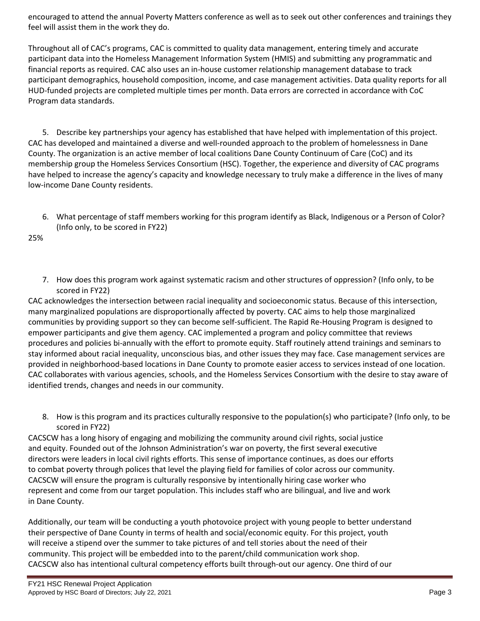encouraged to attend the annual Poverty Matters conference as well as to seek out other conferences and trainings they feel will assist them in the work they do.

Throughout all of CAC's programs, CAC is committed to quality data management, entering timely and accurate participant data into the Homeless Management Information System (HMIS) and submitting any programmatic and financial reports as required. CAC also uses an in-house customer relationship management database to track participant demographics, household composition, income, and case management activities. Data quality reports for all HUD-funded projects are completed multiple times per month. Data errors are corrected in accordance with CoC Program data standards.

5. Describe key partnerships your agency has established that have helped with implementation of this project. CAC has developed and maintained a diverse and well-rounded approach to the problem of homelessness in Dane County. The organization is an active member of local coalitions Dane County Continuum of Care (CoC) and its membership group the Homeless Services Consortium (HSC). Together, the experience and diversity of CAC programs have helped to increase the agency's capacity and knowledge necessary to truly make a difference in the lives of many low-income Dane County residents.

6. What percentage of staff members working for this program identify as Black, Indigenous or a Person of Color? (Info only, to be scored in FY22)

25%

7. How does this program work against systematic racism and other structures of oppression? (Info only, to be scored in FY22)

CAC acknowledges the intersection between racial inequality and socioeconomic status. Because of this intersection, many marginalized populations are disproportionally affected by poverty. CAC aims to help those marginalized communities by providing support so they can become self-sufficient. The Rapid Re-Housing Program is designed to empower participants and give them agency. CAC implemented a program and policy committee that reviews procedures and policies bi-annually with the effort to promote equity. Staff routinely attend trainings and seminars to stay informed about racial inequality, unconscious bias, and other issues they may face. Case management services are provided in neighborhood-based locations in Dane County to promote easier access to services instead of one location. CAC collaborates with various agencies, schools, and the Homeless Services Consortium with the desire to stay aware of identified trends, changes and needs in our community.

8. How is this program and its practices culturally responsive to the population(s) who participate? (Info only, to be scored in FY22)

CACSCW has a long hisory of engaging and mobilizing the community around civil rights, social justice and equity. Founded out of the Johnson Administration's war on poverty, the first several executive directors were leaders in local civil rights efforts. This sense of importance continues, as does our efforts to combat poverty through polices that level the playing field for families of color across our community. CACSCW will ensure the program is culturally responsive by intentionally hiring case worker who represent and come from our target population. This includes staff who are bilingual, and live and work in Dane County.

Additionally, our team will be conducting a youth photovoice project with young people to better understand their perspective of Dane County in terms of health and social/economic equity. For this project, youth will receive a stipend over the summer to take pictures of and tell stories about the need of their community. This project will be embedded into to the parent/child communication work shop. CACSCW also has intentional cultural competency efforts built through-out our agency. One third of our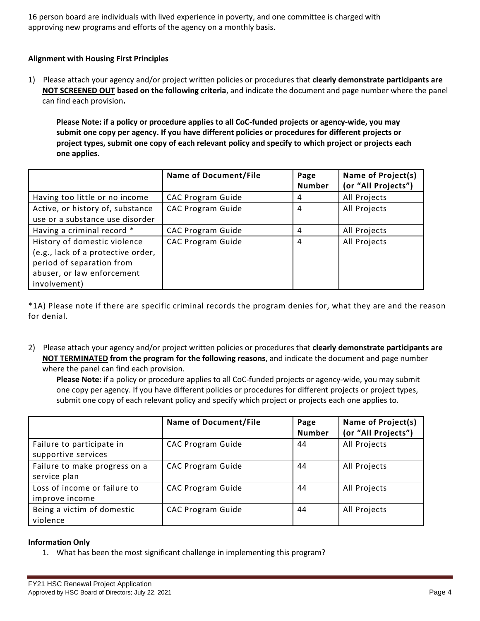16 person board are individuals with lived experience in poverty, and one committee is charged with approving new programs and efforts of the agency on a monthly basis.

# **Alignment with Housing First Principles**

1) Please attach your agency and/or project written policies or procedures that **clearly demonstrate participants are NOT SCREENED OUT based on the following criteria**, and indicate the document and page number where the panel can find each provision**.** 

**Please Note: if a policy or procedure applies to all CoC-funded projects or agency-wide, you may submit one copy per agency. If you have different policies or procedures for different projects or project types, submit one copy of each relevant policy and specify to which project or projects each one applies.**

|                                    | <b>Name of Document/File</b> | Page          | Name of Project(s)  |
|------------------------------------|------------------------------|---------------|---------------------|
|                                    |                              | <b>Number</b> | (or "All Projects") |
| Having too little or no income     | <b>CAC Program Guide</b>     | 4             | All Projects        |
| Active, or history of, substance   | <b>CAC Program Guide</b>     | 4             | All Projects        |
| use or a substance use disorder    |                              |               |                     |
| Having a criminal record *         | <b>CAC Program Guide</b>     | 4             | All Projects        |
| History of domestic violence       | <b>CAC Program Guide</b>     | 4             | All Projects        |
| (e.g., lack of a protective order, |                              |               |                     |
| period of separation from          |                              |               |                     |
| abuser, or law enforcement         |                              |               |                     |
| involvement)                       |                              |               |                     |

\*1A) Please note if there are specific criminal records the program denies for, what they are and the reason for denial.

2) Please attach your agency and/or project written policies or procedures that **clearly demonstrate participants are NOT TERMINATED from the program for the following reasons**, and indicate the document and page number where the panel can find each provision.

**Please Note:** if a policy or procedure applies to all CoC-funded projects or agency-wide, you may submit one copy per agency. If you have different policies or procedures for different projects or project types, submit one copy of each relevant policy and specify which project or projects each one applies to.

|                                                  | <b>Name of Document/File</b> | Page<br><b>Number</b> | Name of Project(s)<br>(or "All Projects") |
|--------------------------------------------------|------------------------------|-----------------------|-------------------------------------------|
| Failure to participate in<br>supportive services | <b>CAC Program Guide</b>     | 44                    | All Projects                              |
| Failure to make progress on a<br>service plan    | <b>CAC Program Guide</b>     | 44                    | All Projects                              |
| Loss of income or failure to<br>improve income   | <b>CAC Program Guide</b>     | 44                    | All Projects                              |
| Being a victim of domestic<br>violence           | <b>CAC Program Guide</b>     | 44                    | All Projects                              |

#### **Information Only**

1. What has been the most significant challenge in implementing this program?